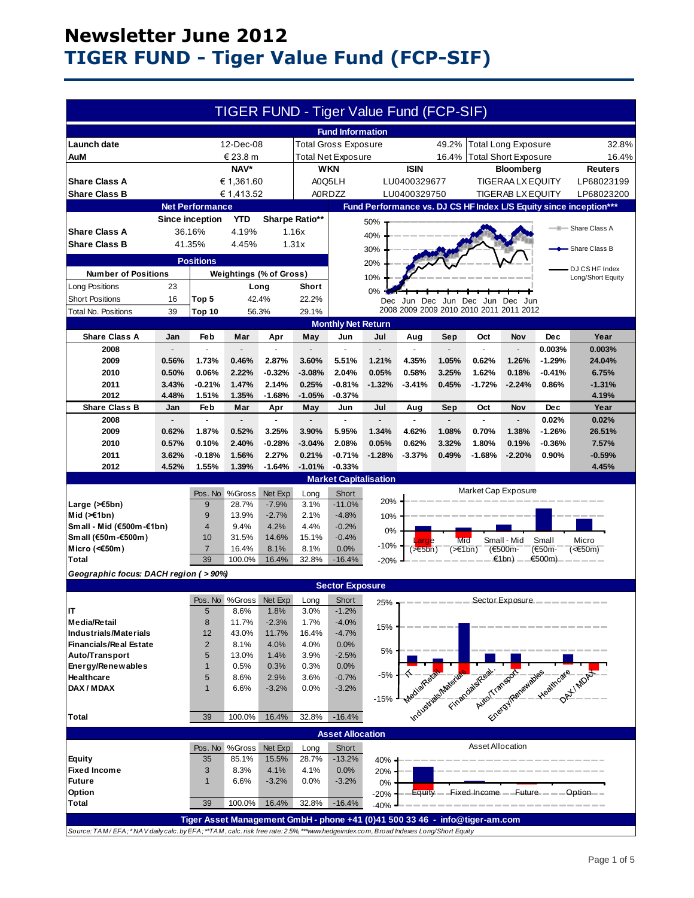# **Newsletter June 2012 TIGER FUND - Tiger Value Fund (FCP-SIF)**

| <b>Fund Information</b><br>Launch date<br>12-Dec-08<br><b>Total Gross Exposure</b><br>49.2%<br><b>Total Long Exposure</b><br>32.8%<br>€ 23.8 m<br><b>Total Net Exposure</b><br><b>Total Short Exposure</b><br>16.4%<br>AuM<br>16.4%<br>NAV*<br><b>WKN</b><br><b>ISIN</b><br><b>Reuters</b><br><b>Bloomberg</b><br><b>Share Class A</b><br>€ 1,361.60<br>A0Q5LH<br>LU0400329677<br><b>TIGERAA LX EQUITY</b><br>LP68023199<br><b>Share Class B</b><br>€ 1,413.52<br><b>A0RDZZ</b><br><b>TIGERAB LX EQUITY</b><br>LU0400329750<br>LP68023200<br><b>Net Performance</b><br>Fund Performance vs. DJ CS HF Index L/S Equity since inception***<br>Sharpe Ratio**<br><b>YTD</b><br><b>Since inception</b><br>50%<br>- Share Class A<br><b>Share Class A</b><br>36.16%<br>4.19%<br>1.16x<br>40%<br><b>Share Class B</b><br>41.35%<br>4.45%<br>1.31x<br>Share Class B<br>30%<br><b>Positions</b><br>20%<br>DJ CS HF Index<br><b>Weightings (% of Gross)</b><br><b>Number of Positions</b><br>10%<br>Long/Short Equity<br>Long Positions<br>23<br>Short<br>Long<br>0%<br>22.2%<br>Top 5<br>42.4%<br><b>Short Positions</b><br>16<br>Jun Dec Jun Dec<br>Dec<br>Jun Dec<br>Jun<br>2008 2009 2009 2010 2010 2011 2011 2012<br>Total No. Positions<br>39<br>29.1%<br>Top 10<br>56.3%<br><b>Monthly Net Return</b><br><b>Share Class A</b><br>Year<br>Feb<br>Mar<br>Jun<br>Oct<br>Nov<br><b>Dec</b><br>Jan<br>Apr<br>May<br>Jul<br>Aug<br>Sep<br>2008<br>0.003%<br>0.003%<br>$\overline{a}$<br>$-1.29%$<br>2009<br>0.56%<br>1.73%<br>0.46%<br>2.87%<br>3.60%<br>5.51%<br>1.21%<br>4.35%<br>1.05%<br>0.62%<br>1.26%<br>24.04%<br>2010<br>0.50%<br>0.06%<br>2.22%<br>$-0.32%$<br>$-3.08%$<br>2.04%<br>0.05%<br>0.58%<br>3.25%<br>1.62%<br>0.18%<br>$-0.41%$<br>6.75%<br>2011<br>3.43%<br>$-0.21%$<br>1.47%<br>2.14%<br>0.25%<br>$-0.81%$<br>$-1.32%$<br>$-3.41%$<br>0.45%<br>$-1.72%$<br>$-2.24%$<br>0.86%<br>$-1.31%$<br>2012<br>4.48%<br>1.35%<br>$-1.68%$<br>$-1.05%$<br>$-0.37%$<br>4.19%<br>1.51%<br><b>Share Class B</b><br>Feb<br>Jul<br>Mar<br>May<br>Jun<br>Sep<br>Oct<br>Nov<br><b>Dec</b><br>Year<br>Jan<br>Apr<br>Aug<br>0.02%<br>2008<br>0.02%<br>$\blacksquare$<br>$\blacksquare$<br>$\overline{\phantom{a}}$<br>$\overline{a}$<br>$\overline{a}$<br>$\overline{\phantom{a}}$<br>$\blacksquare$<br>2009<br>0.62%<br>1.87%<br>0.52%<br>3.25%<br>3.90%<br>5.95%<br>1.34%<br>4.62%<br>1.08%<br>0.70%<br>1.38%<br>$-1.26%$<br>26.51%<br>2010<br>0.57%<br>0.10%<br>2.40%<br>$-0.28%$<br>$-3.04%$<br>2.08%<br>0.05%<br>0.62%<br>3.32%<br>1.80%<br>0.19%<br>$-0.36%$<br>7.57%<br>3.62%<br>1.56%<br>2.27%<br>0.21%<br>$-0.71%$<br>$-1.28%$<br>2011<br>$-0.18%$<br>$-3.37%$<br>0.49%<br>$-1.68%$<br>$-2.20%$<br>0.90%<br>$-0.59%$<br>1.39%<br>$-0.33%$<br>2012<br>4.52%<br>1.55%<br>$-1.64%$<br>$-1.01%$<br>4.45%<br><b>Market Capitalisation</b><br>Market Cap Exposure<br>Pos. No %Gross<br>Short<br>Net Exp<br>Long<br>20%<br>$-7.9%$<br>$-11.0%$<br>Large (>€5bn)<br>9<br>28.7%<br>3.1%<br>Mid $(\ge 1$ bn)<br>9<br>13.9%<br>$-2.7%$<br>2.1%<br>$-4.8%$<br>10%<br>Small - Mid (€500m-€1bn)<br>$\overline{4}$<br>9.4%<br>4.2%<br>4.4%<br>$-0.2%$<br>0%<br>Small (€50m-€500m)<br>31.5%<br>14.6%<br>15.1%<br>$-0.4%$<br>10<br>Small<br>Small - Mid<br>Mid<br>Micro<br>$-10%$<br>Micro (< $60$ m)<br>$\overline{7}$<br>8.1%<br>0.0%<br>16.4%<br>8.1%<br>( <b>55</b> bn)<br>$($ > $\in$ 1bn)<br>(€500m-<br>(€50m-<br>(<€50m)<br>£1bn)<br>€500m)<br>39<br><b>Total</b><br>100.0%<br>16.4%<br>32.8%<br>$-16.4%$<br>$-20%$<br>Geographic focus: DACH region ( > 90%)<br><b>Sector Exposure</b><br>Pos. No %Gross<br>Short<br>Net Exp<br>Sector Exposure $\_\_\_\_\_\_\_\_\_\_\_\_$<br>Long<br>$25%$ T<br>IT<br>1.8%<br>3.0%<br>$-1.2%$<br>5<br>8.6%<br>8<br>1.7%<br><b>Media/Retail</b><br>11.7%<br>$-2.3%$<br>$-4.0%$<br>15%<br><b>Industrials/Materials</b><br>12<br>43.0%<br>11.7%<br>16.4%<br>$-4.7%$<br><b>Financials/Real Estate</b><br>$\overline{c}$<br>8.1%<br>4.0%<br>4.0%<br>0.0%<br>5%<br>Auto/Transport<br>5<br>13.0%<br>3.9%<br>$-2.5%$<br>1.4%<br>Energy/Renewables<br>$\mathbf{1}$<br>0.5%<br>0.3%<br>0.3%<br>0.0%<br>Integrate strategies and production of the participal integrates of the particle<br>-5%<br>Healthcare<br>5<br>8.6%<br>2.9%<br>3.6%<br>$-0.7%$<br>DAX / MDAX<br>$\overline{1}$<br>6.6%<br>0.0%<br>$-3.2%$<br>$-3.2%$<br>$-15%$<br>39<br>100.0%<br>16.4%<br>32.8%<br>$-16.4%$<br>Total<br><b>Asset Allocation</b><br>Asset Allocation<br>Pos. No %Gross<br>Net Exp<br>Short<br>Long<br>35<br>85.1%<br>15.5%<br>28.7%<br>$-13.2%$<br><b>Equity</b><br>40%<br>3<br><b>Fixed Income</b><br>8.3%<br>4.1%<br>4.1%<br>0.0%<br>20%<br><b>Future</b><br>$\mathbf{1}$<br>6.6%<br>$-3.2%$<br>0.0%<br>$-3.2%$<br>0%<br>Option<br>Equity <sub>-</sub> Fixed Income - Future - -<br>Option <sub>--</sub><br>$-20%$<br><b>Total</b><br>39<br>100.0%<br>16.4%<br>32.8%<br>$-16.4%$<br>$-40%$<br>Tiger Asset Management GmbH - phone +41 (0)41 500 33 46 - info@tiger-am.com<br>Source: TAM/EFA; *NAV daily calc. by EFA; **TAM, calc. risk free rate: 2.5%, ***www.hedgeindex.com, Broad Indexes Long/Short Equity |  |  |  |  |  |  | TIGER FUND - Tiger Value Fund (FCP-SIF) |  |  |  |  |
|-------------------------------------------------------------------------------------------------------------------------------------------------------------------------------------------------------------------------------------------------------------------------------------------------------------------------------------------------------------------------------------------------------------------------------------------------------------------------------------------------------------------------------------------------------------------------------------------------------------------------------------------------------------------------------------------------------------------------------------------------------------------------------------------------------------------------------------------------------------------------------------------------------------------------------------------------------------------------------------------------------------------------------------------------------------------------------------------------------------------------------------------------------------------------------------------------------------------------------------------------------------------------------------------------------------------------------------------------------------------------------------------------------------------------------------------------------------------------------------------------------------------------------------------------------------------------------------------------------------------------------------------------------------------------------------------------------------------------------------------------------------------------------------------------------------------------------------------------------------------------------------------------------------------------------------------------------------------------------------------------------------------------------------------------------------------------------------------------------------------------------------------------------------------------------------------------------------------------------------------------------------------------------------------------------------------------------------------------------------------------------------------------------------------------------------------------------------------------------------------------------------------------------------------------------------------------------------------------------------------------------------------------------------------------------------------------------------------------------------------------------------------------------------------------------------------------------------------------------------------------------------------------------------------------------------------------------------------------------------------------------------------------------------------------------------------------------------------------------------------------------------------------------------------------------------------------------------------------------------------------------------------------------------------------------------------------------------------------------------------------------------------------------------------------------------------------------------------------------------------------------------------------------------------------------------------------------------------------------------------------------------------------------------------------------------------------------------------------------------------------------------------------------------------------------------------------------------------------------------------------------------------------------------------------------------------------------------------------------------------------------------------------------------------------------------------------------------------------------------------------------------------------------------------------------------------------------------------------------------------------------------------------------------------------------------------------------------------------------------------------------------------------------------------------------------------------------------------------------------------------------------------------------------------------------------------------------------------------------------------------------------------------------------------------------------------------------------------------------------------------------------------------------------------------------------------------------------------------------------------------------------------------------------------------------------------------------------------------------------------------------------------------------------------------------------------------------------------------------------------------|--|--|--|--|--|--|-----------------------------------------|--|--|--|--|
|                                                                                                                                                                                                                                                                                                                                                                                                                                                                                                                                                                                                                                                                                                                                                                                                                                                                                                                                                                                                                                                                                                                                                                                                                                                                                                                                                                                                                                                                                                                                                                                                                                                                                                                                                                                                                                                                                                                                                                                                                                                                                                                                                                                                                                                                                                                                                                                                                                                                                                                                                                                                                                                                                                                                                                                                                                                                                                                                                                                                                                                                                                                                                                                                                                                                                                                                                                                                                                                                                                                                                                                                                                                                                                                                                                                                                                                                                                                                                                                                                                                                                                                                                                                                                                                                                                                                                                                                                                                                                                                                                                                                                                                                                                                                                                                                                                                                                                                                                                                                                                                                                                                         |  |  |  |  |  |  |                                         |  |  |  |  |
|                                                                                                                                                                                                                                                                                                                                                                                                                                                                                                                                                                                                                                                                                                                                                                                                                                                                                                                                                                                                                                                                                                                                                                                                                                                                                                                                                                                                                                                                                                                                                                                                                                                                                                                                                                                                                                                                                                                                                                                                                                                                                                                                                                                                                                                                                                                                                                                                                                                                                                                                                                                                                                                                                                                                                                                                                                                                                                                                                                                                                                                                                                                                                                                                                                                                                                                                                                                                                                                                                                                                                                                                                                                                                                                                                                                                                                                                                                                                                                                                                                                                                                                                                                                                                                                                                                                                                                                                                                                                                                                                                                                                                                                                                                                                                                                                                                                                                                                                                                                                                                                                                                                         |  |  |  |  |  |  |                                         |  |  |  |  |
|                                                                                                                                                                                                                                                                                                                                                                                                                                                                                                                                                                                                                                                                                                                                                                                                                                                                                                                                                                                                                                                                                                                                                                                                                                                                                                                                                                                                                                                                                                                                                                                                                                                                                                                                                                                                                                                                                                                                                                                                                                                                                                                                                                                                                                                                                                                                                                                                                                                                                                                                                                                                                                                                                                                                                                                                                                                                                                                                                                                                                                                                                                                                                                                                                                                                                                                                                                                                                                                                                                                                                                                                                                                                                                                                                                                                                                                                                                                                                                                                                                                                                                                                                                                                                                                                                                                                                                                                                                                                                                                                                                                                                                                                                                                                                                                                                                                                                                                                                                                                                                                                                                                         |  |  |  |  |  |  |                                         |  |  |  |  |
|                                                                                                                                                                                                                                                                                                                                                                                                                                                                                                                                                                                                                                                                                                                                                                                                                                                                                                                                                                                                                                                                                                                                                                                                                                                                                                                                                                                                                                                                                                                                                                                                                                                                                                                                                                                                                                                                                                                                                                                                                                                                                                                                                                                                                                                                                                                                                                                                                                                                                                                                                                                                                                                                                                                                                                                                                                                                                                                                                                                                                                                                                                                                                                                                                                                                                                                                                                                                                                                                                                                                                                                                                                                                                                                                                                                                                                                                                                                                                                                                                                                                                                                                                                                                                                                                                                                                                                                                                                                                                                                                                                                                                                                                                                                                                                                                                                                                                                                                                                                                                                                                                                                         |  |  |  |  |  |  |                                         |  |  |  |  |
|                                                                                                                                                                                                                                                                                                                                                                                                                                                                                                                                                                                                                                                                                                                                                                                                                                                                                                                                                                                                                                                                                                                                                                                                                                                                                                                                                                                                                                                                                                                                                                                                                                                                                                                                                                                                                                                                                                                                                                                                                                                                                                                                                                                                                                                                                                                                                                                                                                                                                                                                                                                                                                                                                                                                                                                                                                                                                                                                                                                                                                                                                                                                                                                                                                                                                                                                                                                                                                                                                                                                                                                                                                                                                                                                                                                                                                                                                                                                                                                                                                                                                                                                                                                                                                                                                                                                                                                                                                                                                                                                                                                                                                                                                                                                                                                                                                                                                                                                                                                                                                                                                                                         |  |  |  |  |  |  |                                         |  |  |  |  |
|                                                                                                                                                                                                                                                                                                                                                                                                                                                                                                                                                                                                                                                                                                                                                                                                                                                                                                                                                                                                                                                                                                                                                                                                                                                                                                                                                                                                                                                                                                                                                                                                                                                                                                                                                                                                                                                                                                                                                                                                                                                                                                                                                                                                                                                                                                                                                                                                                                                                                                                                                                                                                                                                                                                                                                                                                                                                                                                                                                                                                                                                                                                                                                                                                                                                                                                                                                                                                                                                                                                                                                                                                                                                                                                                                                                                                                                                                                                                                                                                                                                                                                                                                                                                                                                                                                                                                                                                                                                                                                                                                                                                                                                                                                                                                                                                                                                                                                                                                                                                                                                                                                                         |  |  |  |  |  |  |                                         |  |  |  |  |
|                                                                                                                                                                                                                                                                                                                                                                                                                                                                                                                                                                                                                                                                                                                                                                                                                                                                                                                                                                                                                                                                                                                                                                                                                                                                                                                                                                                                                                                                                                                                                                                                                                                                                                                                                                                                                                                                                                                                                                                                                                                                                                                                                                                                                                                                                                                                                                                                                                                                                                                                                                                                                                                                                                                                                                                                                                                                                                                                                                                                                                                                                                                                                                                                                                                                                                                                                                                                                                                                                                                                                                                                                                                                                                                                                                                                                                                                                                                                                                                                                                                                                                                                                                                                                                                                                                                                                                                                                                                                                                                                                                                                                                                                                                                                                                                                                                                                                                                                                                                                                                                                                                                         |  |  |  |  |  |  |                                         |  |  |  |  |
|                                                                                                                                                                                                                                                                                                                                                                                                                                                                                                                                                                                                                                                                                                                                                                                                                                                                                                                                                                                                                                                                                                                                                                                                                                                                                                                                                                                                                                                                                                                                                                                                                                                                                                                                                                                                                                                                                                                                                                                                                                                                                                                                                                                                                                                                                                                                                                                                                                                                                                                                                                                                                                                                                                                                                                                                                                                                                                                                                                                                                                                                                                                                                                                                                                                                                                                                                                                                                                                                                                                                                                                                                                                                                                                                                                                                                                                                                                                                                                                                                                                                                                                                                                                                                                                                                                                                                                                                                                                                                                                                                                                                                                                                                                                                                                                                                                                                                                                                                                                                                                                                                                                         |  |  |  |  |  |  |                                         |  |  |  |  |
|                                                                                                                                                                                                                                                                                                                                                                                                                                                                                                                                                                                                                                                                                                                                                                                                                                                                                                                                                                                                                                                                                                                                                                                                                                                                                                                                                                                                                                                                                                                                                                                                                                                                                                                                                                                                                                                                                                                                                                                                                                                                                                                                                                                                                                                                                                                                                                                                                                                                                                                                                                                                                                                                                                                                                                                                                                                                                                                                                                                                                                                                                                                                                                                                                                                                                                                                                                                                                                                                                                                                                                                                                                                                                                                                                                                                                                                                                                                                                                                                                                                                                                                                                                                                                                                                                                                                                                                                                                                                                                                                                                                                                                                                                                                                                                                                                                                                                                                                                                                                                                                                                                                         |  |  |  |  |  |  |                                         |  |  |  |  |
|                                                                                                                                                                                                                                                                                                                                                                                                                                                                                                                                                                                                                                                                                                                                                                                                                                                                                                                                                                                                                                                                                                                                                                                                                                                                                                                                                                                                                                                                                                                                                                                                                                                                                                                                                                                                                                                                                                                                                                                                                                                                                                                                                                                                                                                                                                                                                                                                                                                                                                                                                                                                                                                                                                                                                                                                                                                                                                                                                                                                                                                                                                                                                                                                                                                                                                                                                                                                                                                                                                                                                                                                                                                                                                                                                                                                                                                                                                                                                                                                                                                                                                                                                                                                                                                                                                                                                                                                                                                                                                                                                                                                                                                                                                                                                                                                                                                                                                                                                                                                                                                                                                                         |  |  |  |  |  |  |                                         |  |  |  |  |
|                                                                                                                                                                                                                                                                                                                                                                                                                                                                                                                                                                                                                                                                                                                                                                                                                                                                                                                                                                                                                                                                                                                                                                                                                                                                                                                                                                                                                                                                                                                                                                                                                                                                                                                                                                                                                                                                                                                                                                                                                                                                                                                                                                                                                                                                                                                                                                                                                                                                                                                                                                                                                                                                                                                                                                                                                                                                                                                                                                                                                                                                                                                                                                                                                                                                                                                                                                                                                                                                                                                                                                                                                                                                                                                                                                                                                                                                                                                                                                                                                                                                                                                                                                                                                                                                                                                                                                                                                                                                                                                                                                                                                                                                                                                                                                                                                                                                                                                                                                                                                                                                                                                         |  |  |  |  |  |  |                                         |  |  |  |  |
|                                                                                                                                                                                                                                                                                                                                                                                                                                                                                                                                                                                                                                                                                                                                                                                                                                                                                                                                                                                                                                                                                                                                                                                                                                                                                                                                                                                                                                                                                                                                                                                                                                                                                                                                                                                                                                                                                                                                                                                                                                                                                                                                                                                                                                                                                                                                                                                                                                                                                                                                                                                                                                                                                                                                                                                                                                                                                                                                                                                                                                                                                                                                                                                                                                                                                                                                                                                                                                                                                                                                                                                                                                                                                                                                                                                                                                                                                                                                                                                                                                                                                                                                                                                                                                                                                                                                                                                                                                                                                                                                                                                                                                                                                                                                                                                                                                                                                                                                                                                                                                                                                                                         |  |  |  |  |  |  |                                         |  |  |  |  |
|                                                                                                                                                                                                                                                                                                                                                                                                                                                                                                                                                                                                                                                                                                                                                                                                                                                                                                                                                                                                                                                                                                                                                                                                                                                                                                                                                                                                                                                                                                                                                                                                                                                                                                                                                                                                                                                                                                                                                                                                                                                                                                                                                                                                                                                                                                                                                                                                                                                                                                                                                                                                                                                                                                                                                                                                                                                                                                                                                                                                                                                                                                                                                                                                                                                                                                                                                                                                                                                                                                                                                                                                                                                                                                                                                                                                                                                                                                                                                                                                                                                                                                                                                                                                                                                                                                                                                                                                                                                                                                                                                                                                                                                                                                                                                                                                                                                                                                                                                                                                                                                                                                                         |  |  |  |  |  |  |                                         |  |  |  |  |
|                                                                                                                                                                                                                                                                                                                                                                                                                                                                                                                                                                                                                                                                                                                                                                                                                                                                                                                                                                                                                                                                                                                                                                                                                                                                                                                                                                                                                                                                                                                                                                                                                                                                                                                                                                                                                                                                                                                                                                                                                                                                                                                                                                                                                                                                                                                                                                                                                                                                                                                                                                                                                                                                                                                                                                                                                                                                                                                                                                                                                                                                                                                                                                                                                                                                                                                                                                                                                                                                                                                                                                                                                                                                                                                                                                                                                                                                                                                                                                                                                                                                                                                                                                                                                                                                                                                                                                                                                                                                                                                                                                                                                                                                                                                                                                                                                                                                                                                                                                                                                                                                                                                         |  |  |  |  |  |  |                                         |  |  |  |  |
|                                                                                                                                                                                                                                                                                                                                                                                                                                                                                                                                                                                                                                                                                                                                                                                                                                                                                                                                                                                                                                                                                                                                                                                                                                                                                                                                                                                                                                                                                                                                                                                                                                                                                                                                                                                                                                                                                                                                                                                                                                                                                                                                                                                                                                                                                                                                                                                                                                                                                                                                                                                                                                                                                                                                                                                                                                                                                                                                                                                                                                                                                                                                                                                                                                                                                                                                                                                                                                                                                                                                                                                                                                                                                                                                                                                                                                                                                                                                                                                                                                                                                                                                                                                                                                                                                                                                                                                                                                                                                                                                                                                                                                                                                                                                                                                                                                                                                                                                                                                                                                                                                                                         |  |  |  |  |  |  |                                         |  |  |  |  |
|                                                                                                                                                                                                                                                                                                                                                                                                                                                                                                                                                                                                                                                                                                                                                                                                                                                                                                                                                                                                                                                                                                                                                                                                                                                                                                                                                                                                                                                                                                                                                                                                                                                                                                                                                                                                                                                                                                                                                                                                                                                                                                                                                                                                                                                                                                                                                                                                                                                                                                                                                                                                                                                                                                                                                                                                                                                                                                                                                                                                                                                                                                                                                                                                                                                                                                                                                                                                                                                                                                                                                                                                                                                                                                                                                                                                                                                                                                                                                                                                                                                                                                                                                                                                                                                                                                                                                                                                                                                                                                                                                                                                                                                                                                                                                                                                                                                                                                                                                                                                                                                                                                                         |  |  |  |  |  |  |                                         |  |  |  |  |
|                                                                                                                                                                                                                                                                                                                                                                                                                                                                                                                                                                                                                                                                                                                                                                                                                                                                                                                                                                                                                                                                                                                                                                                                                                                                                                                                                                                                                                                                                                                                                                                                                                                                                                                                                                                                                                                                                                                                                                                                                                                                                                                                                                                                                                                                                                                                                                                                                                                                                                                                                                                                                                                                                                                                                                                                                                                                                                                                                                                                                                                                                                                                                                                                                                                                                                                                                                                                                                                                                                                                                                                                                                                                                                                                                                                                                                                                                                                                                                                                                                                                                                                                                                                                                                                                                                                                                                                                                                                                                                                                                                                                                                                                                                                                                                                                                                                                                                                                                                                                                                                                                                                         |  |  |  |  |  |  |                                         |  |  |  |  |
|                                                                                                                                                                                                                                                                                                                                                                                                                                                                                                                                                                                                                                                                                                                                                                                                                                                                                                                                                                                                                                                                                                                                                                                                                                                                                                                                                                                                                                                                                                                                                                                                                                                                                                                                                                                                                                                                                                                                                                                                                                                                                                                                                                                                                                                                                                                                                                                                                                                                                                                                                                                                                                                                                                                                                                                                                                                                                                                                                                                                                                                                                                                                                                                                                                                                                                                                                                                                                                                                                                                                                                                                                                                                                                                                                                                                                                                                                                                                                                                                                                                                                                                                                                                                                                                                                                                                                                                                                                                                                                                                                                                                                                                                                                                                                                                                                                                                                                                                                                                                                                                                                                                         |  |  |  |  |  |  |                                         |  |  |  |  |
|                                                                                                                                                                                                                                                                                                                                                                                                                                                                                                                                                                                                                                                                                                                                                                                                                                                                                                                                                                                                                                                                                                                                                                                                                                                                                                                                                                                                                                                                                                                                                                                                                                                                                                                                                                                                                                                                                                                                                                                                                                                                                                                                                                                                                                                                                                                                                                                                                                                                                                                                                                                                                                                                                                                                                                                                                                                                                                                                                                                                                                                                                                                                                                                                                                                                                                                                                                                                                                                                                                                                                                                                                                                                                                                                                                                                                                                                                                                                                                                                                                                                                                                                                                                                                                                                                                                                                                                                                                                                                                                                                                                                                                                                                                                                                                                                                                                                                                                                                                                                                                                                                                                         |  |  |  |  |  |  |                                         |  |  |  |  |
|                                                                                                                                                                                                                                                                                                                                                                                                                                                                                                                                                                                                                                                                                                                                                                                                                                                                                                                                                                                                                                                                                                                                                                                                                                                                                                                                                                                                                                                                                                                                                                                                                                                                                                                                                                                                                                                                                                                                                                                                                                                                                                                                                                                                                                                                                                                                                                                                                                                                                                                                                                                                                                                                                                                                                                                                                                                                                                                                                                                                                                                                                                                                                                                                                                                                                                                                                                                                                                                                                                                                                                                                                                                                                                                                                                                                                                                                                                                                                                                                                                                                                                                                                                                                                                                                                                                                                                                                                                                                                                                                                                                                                                                                                                                                                                                                                                                                                                                                                                                                                                                                                                                         |  |  |  |  |  |  |                                         |  |  |  |  |
|                                                                                                                                                                                                                                                                                                                                                                                                                                                                                                                                                                                                                                                                                                                                                                                                                                                                                                                                                                                                                                                                                                                                                                                                                                                                                                                                                                                                                                                                                                                                                                                                                                                                                                                                                                                                                                                                                                                                                                                                                                                                                                                                                                                                                                                                                                                                                                                                                                                                                                                                                                                                                                                                                                                                                                                                                                                                                                                                                                                                                                                                                                                                                                                                                                                                                                                                                                                                                                                                                                                                                                                                                                                                                                                                                                                                                                                                                                                                                                                                                                                                                                                                                                                                                                                                                                                                                                                                                                                                                                                                                                                                                                                                                                                                                                                                                                                                                                                                                                                                                                                                                                                         |  |  |  |  |  |  |                                         |  |  |  |  |
|                                                                                                                                                                                                                                                                                                                                                                                                                                                                                                                                                                                                                                                                                                                                                                                                                                                                                                                                                                                                                                                                                                                                                                                                                                                                                                                                                                                                                                                                                                                                                                                                                                                                                                                                                                                                                                                                                                                                                                                                                                                                                                                                                                                                                                                                                                                                                                                                                                                                                                                                                                                                                                                                                                                                                                                                                                                                                                                                                                                                                                                                                                                                                                                                                                                                                                                                                                                                                                                                                                                                                                                                                                                                                                                                                                                                                                                                                                                                                                                                                                                                                                                                                                                                                                                                                                                                                                                                                                                                                                                                                                                                                                                                                                                                                                                                                                                                                                                                                                                                                                                                                                                         |  |  |  |  |  |  |                                         |  |  |  |  |
|                                                                                                                                                                                                                                                                                                                                                                                                                                                                                                                                                                                                                                                                                                                                                                                                                                                                                                                                                                                                                                                                                                                                                                                                                                                                                                                                                                                                                                                                                                                                                                                                                                                                                                                                                                                                                                                                                                                                                                                                                                                                                                                                                                                                                                                                                                                                                                                                                                                                                                                                                                                                                                                                                                                                                                                                                                                                                                                                                                                                                                                                                                                                                                                                                                                                                                                                                                                                                                                                                                                                                                                                                                                                                                                                                                                                                                                                                                                                                                                                                                                                                                                                                                                                                                                                                                                                                                                                                                                                                                                                                                                                                                                                                                                                                                                                                                                                                                                                                                                                                                                                                                                         |  |  |  |  |  |  |                                         |  |  |  |  |
|                                                                                                                                                                                                                                                                                                                                                                                                                                                                                                                                                                                                                                                                                                                                                                                                                                                                                                                                                                                                                                                                                                                                                                                                                                                                                                                                                                                                                                                                                                                                                                                                                                                                                                                                                                                                                                                                                                                                                                                                                                                                                                                                                                                                                                                                                                                                                                                                                                                                                                                                                                                                                                                                                                                                                                                                                                                                                                                                                                                                                                                                                                                                                                                                                                                                                                                                                                                                                                                                                                                                                                                                                                                                                                                                                                                                                                                                                                                                                                                                                                                                                                                                                                                                                                                                                                                                                                                                                                                                                                                                                                                                                                                                                                                                                                                                                                                                                                                                                                                                                                                                                                                         |  |  |  |  |  |  |                                         |  |  |  |  |
|                                                                                                                                                                                                                                                                                                                                                                                                                                                                                                                                                                                                                                                                                                                                                                                                                                                                                                                                                                                                                                                                                                                                                                                                                                                                                                                                                                                                                                                                                                                                                                                                                                                                                                                                                                                                                                                                                                                                                                                                                                                                                                                                                                                                                                                                                                                                                                                                                                                                                                                                                                                                                                                                                                                                                                                                                                                                                                                                                                                                                                                                                                                                                                                                                                                                                                                                                                                                                                                                                                                                                                                                                                                                                                                                                                                                                                                                                                                                                                                                                                                                                                                                                                                                                                                                                                                                                                                                                                                                                                                                                                                                                                                                                                                                                                                                                                                                                                                                                                                                                                                                                                                         |  |  |  |  |  |  |                                         |  |  |  |  |
|                                                                                                                                                                                                                                                                                                                                                                                                                                                                                                                                                                                                                                                                                                                                                                                                                                                                                                                                                                                                                                                                                                                                                                                                                                                                                                                                                                                                                                                                                                                                                                                                                                                                                                                                                                                                                                                                                                                                                                                                                                                                                                                                                                                                                                                                                                                                                                                                                                                                                                                                                                                                                                                                                                                                                                                                                                                                                                                                                                                                                                                                                                                                                                                                                                                                                                                                                                                                                                                                                                                                                                                                                                                                                                                                                                                                                                                                                                                                                                                                                                                                                                                                                                                                                                                                                                                                                                                                                                                                                                                                                                                                                                                                                                                                                                                                                                                                                                                                                                                                                                                                                                                         |  |  |  |  |  |  |                                         |  |  |  |  |
|                                                                                                                                                                                                                                                                                                                                                                                                                                                                                                                                                                                                                                                                                                                                                                                                                                                                                                                                                                                                                                                                                                                                                                                                                                                                                                                                                                                                                                                                                                                                                                                                                                                                                                                                                                                                                                                                                                                                                                                                                                                                                                                                                                                                                                                                                                                                                                                                                                                                                                                                                                                                                                                                                                                                                                                                                                                                                                                                                                                                                                                                                                                                                                                                                                                                                                                                                                                                                                                                                                                                                                                                                                                                                                                                                                                                                                                                                                                                                                                                                                                                                                                                                                                                                                                                                                                                                                                                                                                                                                                                                                                                                                                                                                                                                                                                                                                                                                                                                                                                                                                                                                                         |  |  |  |  |  |  |                                         |  |  |  |  |
|                                                                                                                                                                                                                                                                                                                                                                                                                                                                                                                                                                                                                                                                                                                                                                                                                                                                                                                                                                                                                                                                                                                                                                                                                                                                                                                                                                                                                                                                                                                                                                                                                                                                                                                                                                                                                                                                                                                                                                                                                                                                                                                                                                                                                                                                                                                                                                                                                                                                                                                                                                                                                                                                                                                                                                                                                                                                                                                                                                                                                                                                                                                                                                                                                                                                                                                                                                                                                                                                                                                                                                                                                                                                                                                                                                                                                                                                                                                                                                                                                                                                                                                                                                                                                                                                                                                                                                                                                                                                                                                                                                                                                                                                                                                                                                                                                                                                                                                                                                                                                                                                                                                         |  |  |  |  |  |  |                                         |  |  |  |  |
|                                                                                                                                                                                                                                                                                                                                                                                                                                                                                                                                                                                                                                                                                                                                                                                                                                                                                                                                                                                                                                                                                                                                                                                                                                                                                                                                                                                                                                                                                                                                                                                                                                                                                                                                                                                                                                                                                                                                                                                                                                                                                                                                                                                                                                                                                                                                                                                                                                                                                                                                                                                                                                                                                                                                                                                                                                                                                                                                                                                                                                                                                                                                                                                                                                                                                                                                                                                                                                                                                                                                                                                                                                                                                                                                                                                                                                                                                                                                                                                                                                                                                                                                                                                                                                                                                                                                                                                                                                                                                                                                                                                                                                                                                                                                                                                                                                                                                                                                                                                                                                                                                                                         |  |  |  |  |  |  |                                         |  |  |  |  |
|                                                                                                                                                                                                                                                                                                                                                                                                                                                                                                                                                                                                                                                                                                                                                                                                                                                                                                                                                                                                                                                                                                                                                                                                                                                                                                                                                                                                                                                                                                                                                                                                                                                                                                                                                                                                                                                                                                                                                                                                                                                                                                                                                                                                                                                                                                                                                                                                                                                                                                                                                                                                                                                                                                                                                                                                                                                                                                                                                                                                                                                                                                                                                                                                                                                                                                                                                                                                                                                                                                                                                                                                                                                                                                                                                                                                                                                                                                                                                                                                                                                                                                                                                                                                                                                                                                                                                                                                                                                                                                                                                                                                                                                                                                                                                                                                                                                                                                                                                                                                                                                                                                                         |  |  |  |  |  |  |                                         |  |  |  |  |
|                                                                                                                                                                                                                                                                                                                                                                                                                                                                                                                                                                                                                                                                                                                                                                                                                                                                                                                                                                                                                                                                                                                                                                                                                                                                                                                                                                                                                                                                                                                                                                                                                                                                                                                                                                                                                                                                                                                                                                                                                                                                                                                                                                                                                                                                                                                                                                                                                                                                                                                                                                                                                                                                                                                                                                                                                                                                                                                                                                                                                                                                                                                                                                                                                                                                                                                                                                                                                                                                                                                                                                                                                                                                                                                                                                                                                                                                                                                                                                                                                                                                                                                                                                                                                                                                                                                                                                                                                                                                                                                                                                                                                                                                                                                                                                                                                                                                                                                                                                                                                                                                                                                         |  |  |  |  |  |  |                                         |  |  |  |  |
|                                                                                                                                                                                                                                                                                                                                                                                                                                                                                                                                                                                                                                                                                                                                                                                                                                                                                                                                                                                                                                                                                                                                                                                                                                                                                                                                                                                                                                                                                                                                                                                                                                                                                                                                                                                                                                                                                                                                                                                                                                                                                                                                                                                                                                                                                                                                                                                                                                                                                                                                                                                                                                                                                                                                                                                                                                                                                                                                                                                                                                                                                                                                                                                                                                                                                                                                                                                                                                                                                                                                                                                                                                                                                                                                                                                                                                                                                                                                                                                                                                                                                                                                                                                                                                                                                                                                                                                                                                                                                                                                                                                                                                                                                                                                                                                                                                                                                                                                                                                                                                                                                                                         |  |  |  |  |  |  |                                         |  |  |  |  |
|                                                                                                                                                                                                                                                                                                                                                                                                                                                                                                                                                                                                                                                                                                                                                                                                                                                                                                                                                                                                                                                                                                                                                                                                                                                                                                                                                                                                                                                                                                                                                                                                                                                                                                                                                                                                                                                                                                                                                                                                                                                                                                                                                                                                                                                                                                                                                                                                                                                                                                                                                                                                                                                                                                                                                                                                                                                                                                                                                                                                                                                                                                                                                                                                                                                                                                                                                                                                                                                                                                                                                                                                                                                                                                                                                                                                                                                                                                                                                                                                                                                                                                                                                                                                                                                                                                                                                                                                                                                                                                                                                                                                                                                                                                                                                                                                                                                                                                                                                                                                                                                                                                                         |  |  |  |  |  |  |                                         |  |  |  |  |
|                                                                                                                                                                                                                                                                                                                                                                                                                                                                                                                                                                                                                                                                                                                                                                                                                                                                                                                                                                                                                                                                                                                                                                                                                                                                                                                                                                                                                                                                                                                                                                                                                                                                                                                                                                                                                                                                                                                                                                                                                                                                                                                                                                                                                                                                                                                                                                                                                                                                                                                                                                                                                                                                                                                                                                                                                                                                                                                                                                                                                                                                                                                                                                                                                                                                                                                                                                                                                                                                                                                                                                                                                                                                                                                                                                                                                                                                                                                                                                                                                                                                                                                                                                                                                                                                                                                                                                                                                                                                                                                                                                                                                                                                                                                                                                                                                                                                                                                                                                                                                                                                                                                         |  |  |  |  |  |  |                                         |  |  |  |  |
|                                                                                                                                                                                                                                                                                                                                                                                                                                                                                                                                                                                                                                                                                                                                                                                                                                                                                                                                                                                                                                                                                                                                                                                                                                                                                                                                                                                                                                                                                                                                                                                                                                                                                                                                                                                                                                                                                                                                                                                                                                                                                                                                                                                                                                                                                                                                                                                                                                                                                                                                                                                                                                                                                                                                                                                                                                                                                                                                                                                                                                                                                                                                                                                                                                                                                                                                                                                                                                                                                                                                                                                                                                                                                                                                                                                                                                                                                                                                                                                                                                                                                                                                                                                                                                                                                                                                                                                                                                                                                                                                                                                                                                                                                                                                                                                                                                                                                                                                                                                                                                                                                                                         |  |  |  |  |  |  |                                         |  |  |  |  |
|                                                                                                                                                                                                                                                                                                                                                                                                                                                                                                                                                                                                                                                                                                                                                                                                                                                                                                                                                                                                                                                                                                                                                                                                                                                                                                                                                                                                                                                                                                                                                                                                                                                                                                                                                                                                                                                                                                                                                                                                                                                                                                                                                                                                                                                                                                                                                                                                                                                                                                                                                                                                                                                                                                                                                                                                                                                                                                                                                                                                                                                                                                                                                                                                                                                                                                                                                                                                                                                                                                                                                                                                                                                                                                                                                                                                                                                                                                                                                                                                                                                                                                                                                                                                                                                                                                                                                                                                                                                                                                                                                                                                                                                                                                                                                                                                                                                                                                                                                                                                                                                                                                                         |  |  |  |  |  |  |                                         |  |  |  |  |
|                                                                                                                                                                                                                                                                                                                                                                                                                                                                                                                                                                                                                                                                                                                                                                                                                                                                                                                                                                                                                                                                                                                                                                                                                                                                                                                                                                                                                                                                                                                                                                                                                                                                                                                                                                                                                                                                                                                                                                                                                                                                                                                                                                                                                                                                                                                                                                                                                                                                                                                                                                                                                                                                                                                                                                                                                                                                                                                                                                                                                                                                                                                                                                                                                                                                                                                                                                                                                                                                                                                                                                                                                                                                                                                                                                                                                                                                                                                                                                                                                                                                                                                                                                                                                                                                                                                                                                                                                                                                                                                                                                                                                                                                                                                                                                                                                                                                                                                                                                                                                                                                                                                         |  |  |  |  |  |  |                                         |  |  |  |  |
|                                                                                                                                                                                                                                                                                                                                                                                                                                                                                                                                                                                                                                                                                                                                                                                                                                                                                                                                                                                                                                                                                                                                                                                                                                                                                                                                                                                                                                                                                                                                                                                                                                                                                                                                                                                                                                                                                                                                                                                                                                                                                                                                                                                                                                                                                                                                                                                                                                                                                                                                                                                                                                                                                                                                                                                                                                                                                                                                                                                                                                                                                                                                                                                                                                                                                                                                                                                                                                                                                                                                                                                                                                                                                                                                                                                                                                                                                                                                                                                                                                                                                                                                                                                                                                                                                                                                                                                                                                                                                                                                                                                                                                                                                                                                                                                                                                                                                                                                                                                                                                                                                                                         |  |  |  |  |  |  |                                         |  |  |  |  |
|                                                                                                                                                                                                                                                                                                                                                                                                                                                                                                                                                                                                                                                                                                                                                                                                                                                                                                                                                                                                                                                                                                                                                                                                                                                                                                                                                                                                                                                                                                                                                                                                                                                                                                                                                                                                                                                                                                                                                                                                                                                                                                                                                                                                                                                                                                                                                                                                                                                                                                                                                                                                                                                                                                                                                                                                                                                                                                                                                                                                                                                                                                                                                                                                                                                                                                                                                                                                                                                                                                                                                                                                                                                                                                                                                                                                                                                                                                                                                                                                                                                                                                                                                                                                                                                                                                                                                                                                                                                                                                                                                                                                                                                                                                                                                                                                                                                                                                                                                                                                                                                                                                                         |  |  |  |  |  |  |                                         |  |  |  |  |
|                                                                                                                                                                                                                                                                                                                                                                                                                                                                                                                                                                                                                                                                                                                                                                                                                                                                                                                                                                                                                                                                                                                                                                                                                                                                                                                                                                                                                                                                                                                                                                                                                                                                                                                                                                                                                                                                                                                                                                                                                                                                                                                                                                                                                                                                                                                                                                                                                                                                                                                                                                                                                                                                                                                                                                                                                                                                                                                                                                                                                                                                                                                                                                                                                                                                                                                                                                                                                                                                                                                                                                                                                                                                                                                                                                                                                                                                                                                                                                                                                                                                                                                                                                                                                                                                                                                                                                                                                                                                                                                                                                                                                                                                                                                                                                                                                                                                                                                                                                                                                                                                                                                         |  |  |  |  |  |  |                                         |  |  |  |  |
|                                                                                                                                                                                                                                                                                                                                                                                                                                                                                                                                                                                                                                                                                                                                                                                                                                                                                                                                                                                                                                                                                                                                                                                                                                                                                                                                                                                                                                                                                                                                                                                                                                                                                                                                                                                                                                                                                                                                                                                                                                                                                                                                                                                                                                                                                                                                                                                                                                                                                                                                                                                                                                                                                                                                                                                                                                                                                                                                                                                                                                                                                                                                                                                                                                                                                                                                                                                                                                                                                                                                                                                                                                                                                                                                                                                                                                                                                                                                                                                                                                                                                                                                                                                                                                                                                                                                                                                                                                                                                                                                                                                                                                                                                                                                                                                                                                                                                                                                                                                                                                                                                                                         |  |  |  |  |  |  |                                         |  |  |  |  |
|                                                                                                                                                                                                                                                                                                                                                                                                                                                                                                                                                                                                                                                                                                                                                                                                                                                                                                                                                                                                                                                                                                                                                                                                                                                                                                                                                                                                                                                                                                                                                                                                                                                                                                                                                                                                                                                                                                                                                                                                                                                                                                                                                                                                                                                                                                                                                                                                                                                                                                                                                                                                                                                                                                                                                                                                                                                                                                                                                                                                                                                                                                                                                                                                                                                                                                                                                                                                                                                                                                                                                                                                                                                                                                                                                                                                                                                                                                                                                                                                                                                                                                                                                                                                                                                                                                                                                                                                                                                                                                                                                                                                                                                                                                                                                                                                                                                                                                                                                                                                                                                                                                                         |  |  |  |  |  |  |                                         |  |  |  |  |
|                                                                                                                                                                                                                                                                                                                                                                                                                                                                                                                                                                                                                                                                                                                                                                                                                                                                                                                                                                                                                                                                                                                                                                                                                                                                                                                                                                                                                                                                                                                                                                                                                                                                                                                                                                                                                                                                                                                                                                                                                                                                                                                                                                                                                                                                                                                                                                                                                                                                                                                                                                                                                                                                                                                                                                                                                                                                                                                                                                                                                                                                                                                                                                                                                                                                                                                                                                                                                                                                                                                                                                                                                                                                                                                                                                                                                                                                                                                                                                                                                                                                                                                                                                                                                                                                                                                                                                                                                                                                                                                                                                                                                                                                                                                                                                                                                                                                                                                                                                                                                                                                                                                         |  |  |  |  |  |  |                                         |  |  |  |  |
|                                                                                                                                                                                                                                                                                                                                                                                                                                                                                                                                                                                                                                                                                                                                                                                                                                                                                                                                                                                                                                                                                                                                                                                                                                                                                                                                                                                                                                                                                                                                                                                                                                                                                                                                                                                                                                                                                                                                                                                                                                                                                                                                                                                                                                                                                                                                                                                                                                                                                                                                                                                                                                                                                                                                                                                                                                                                                                                                                                                                                                                                                                                                                                                                                                                                                                                                                                                                                                                                                                                                                                                                                                                                                                                                                                                                                                                                                                                                                                                                                                                                                                                                                                                                                                                                                                                                                                                                                                                                                                                                                                                                                                                                                                                                                                                                                                                                                                                                                                                                                                                                                                                         |  |  |  |  |  |  |                                         |  |  |  |  |
|                                                                                                                                                                                                                                                                                                                                                                                                                                                                                                                                                                                                                                                                                                                                                                                                                                                                                                                                                                                                                                                                                                                                                                                                                                                                                                                                                                                                                                                                                                                                                                                                                                                                                                                                                                                                                                                                                                                                                                                                                                                                                                                                                                                                                                                                                                                                                                                                                                                                                                                                                                                                                                                                                                                                                                                                                                                                                                                                                                                                                                                                                                                                                                                                                                                                                                                                                                                                                                                                                                                                                                                                                                                                                                                                                                                                                                                                                                                                                                                                                                                                                                                                                                                                                                                                                                                                                                                                                                                                                                                                                                                                                                                                                                                                                                                                                                                                                                                                                                                                                                                                                                                         |  |  |  |  |  |  |                                         |  |  |  |  |
|                                                                                                                                                                                                                                                                                                                                                                                                                                                                                                                                                                                                                                                                                                                                                                                                                                                                                                                                                                                                                                                                                                                                                                                                                                                                                                                                                                                                                                                                                                                                                                                                                                                                                                                                                                                                                                                                                                                                                                                                                                                                                                                                                                                                                                                                                                                                                                                                                                                                                                                                                                                                                                                                                                                                                                                                                                                                                                                                                                                                                                                                                                                                                                                                                                                                                                                                                                                                                                                                                                                                                                                                                                                                                                                                                                                                                                                                                                                                                                                                                                                                                                                                                                                                                                                                                                                                                                                                                                                                                                                                                                                                                                                                                                                                                                                                                                                                                                                                                                                                                                                                                                                         |  |  |  |  |  |  |                                         |  |  |  |  |
|                                                                                                                                                                                                                                                                                                                                                                                                                                                                                                                                                                                                                                                                                                                                                                                                                                                                                                                                                                                                                                                                                                                                                                                                                                                                                                                                                                                                                                                                                                                                                                                                                                                                                                                                                                                                                                                                                                                                                                                                                                                                                                                                                                                                                                                                                                                                                                                                                                                                                                                                                                                                                                                                                                                                                                                                                                                                                                                                                                                                                                                                                                                                                                                                                                                                                                                                                                                                                                                                                                                                                                                                                                                                                                                                                                                                                                                                                                                                                                                                                                                                                                                                                                                                                                                                                                                                                                                                                                                                                                                                                                                                                                                                                                                                                                                                                                                                                                                                                                                                                                                                                                                         |  |  |  |  |  |  |                                         |  |  |  |  |
|                                                                                                                                                                                                                                                                                                                                                                                                                                                                                                                                                                                                                                                                                                                                                                                                                                                                                                                                                                                                                                                                                                                                                                                                                                                                                                                                                                                                                                                                                                                                                                                                                                                                                                                                                                                                                                                                                                                                                                                                                                                                                                                                                                                                                                                                                                                                                                                                                                                                                                                                                                                                                                                                                                                                                                                                                                                                                                                                                                                                                                                                                                                                                                                                                                                                                                                                                                                                                                                                                                                                                                                                                                                                                                                                                                                                                                                                                                                                                                                                                                                                                                                                                                                                                                                                                                                                                                                                                                                                                                                                                                                                                                                                                                                                                                                                                                                                                                                                                                                                                                                                                                                         |  |  |  |  |  |  |                                         |  |  |  |  |
|                                                                                                                                                                                                                                                                                                                                                                                                                                                                                                                                                                                                                                                                                                                                                                                                                                                                                                                                                                                                                                                                                                                                                                                                                                                                                                                                                                                                                                                                                                                                                                                                                                                                                                                                                                                                                                                                                                                                                                                                                                                                                                                                                                                                                                                                                                                                                                                                                                                                                                                                                                                                                                                                                                                                                                                                                                                                                                                                                                                                                                                                                                                                                                                                                                                                                                                                                                                                                                                                                                                                                                                                                                                                                                                                                                                                                                                                                                                                                                                                                                                                                                                                                                                                                                                                                                                                                                                                                                                                                                                                                                                                                                                                                                                                                                                                                                                                                                                                                                                                                                                                                                                         |  |  |  |  |  |  |                                         |  |  |  |  |
|                                                                                                                                                                                                                                                                                                                                                                                                                                                                                                                                                                                                                                                                                                                                                                                                                                                                                                                                                                                                                                                                                                                                                                                                                                                                                                                                                                                                                                                                                                                                                                                                                                                                                                                                                                                                                                                                                                                                                                                                                                                                                                                                                                                                                                                                                                                                                                                                                                                                                                                                                                                                                                                                                                                                                                                                                                                                                                                                                                                                                                                                                                                                                                                                                                                                                                                                                                                                                                                                                                                                                                                                                                                                                                                                                                                                                                                                                                                                                                                                                                                                                                                                                                                                                                                                                                                                                                                                                                                                                                                                                                                                                                                                                                                                                                                                                                                                                                                                                                                                                                                                                                                         |  |  |  |  |  |  |                                         |  |  |  |  |
|                                                                                                                                                                                                                                                                                                                                                                                                                                                                                                                                                                                                                                                                                                                                                                                                                                                                                                                                                                                                                                                                                                                                                                                                                                                                                                                                                                                                                                                                                                                                                                                                                                                                                                                                                                                                                                                                                                                                                                                                                                                                                                                                                                                                                                                                                                                                                                                                                                                                                                                                                                                                                                                                                                                                                                                                                                                                                                                                                                                                                                                                                                                                                                                                                                                                                                                                                                                                                                                                                                                                                                                                                                                                                                                                                                                                                                                                                                                                                                                                                                                                                                                                                                                                                                                                                                                                                                                                                                                                                                                                                                                                                                                                                                                                                                                                                                                                                                                                                                                                                                                                                                                         |  |  |  |  |  |  |                                         |  |  |  |  |
|                                                                                                                                                                                                                                                                                                                                                                                                                                                                                                                                                                                                                                                                                                                                                                                                                                                                                                                                                                                                                                                                                                                                                                                                                                                                                                                                                                                                                                                                                                                                                                                                                                                                                                                                                                                                                                                                                                                                                                                                                                                                                                                                                                                                                                                                                                                                                                                                                                                                                                                                                                                                                                                                                                                                                                                                                                                                                                                                                                                                                                                                                                                                                                                                                                                                                                                                                                                                                                                                                                                                                                                                                                                                                                                                                                                                                                                                                                                                                                                                                                                                                                                                                                                                                                                                                                                                                                                                                                                                                                                                                                                                                                                                                                                                                                                                                                                                                                                                                                                                                                                                                                                         |  |  |  |  |  |  |                                         |  |  |  |  |
|                                                                                                                                                                                                                                                                                                                                                                                                                                                                                                                                                                                                                                                                                                                                                                                                                                                                                                                                                                                                                                                                                                                                                                                                                                                                                                                                                                                                                                                                                                                                                                                                                                                                                                                                                                                                                                                                                                                                                                                                                                                                                                                                                                                                                                                                                                                                                                                                                                                                                                                                                                                                                                                                                                                                                                                                                                                                                                                                                                                                                                                                                                                                                                                                                                                                                                                                                                                                                                                                                                                                                                                                                                                                                                                                                                                                                                                                                                                                                                                                                                                                                                                                                                                                                                                                                                                                                                                                                                                                                                                                                                                                                                                                                                                                                                                                                                                                                                                                                                                                                                                                                                                         |  |  |  |  |  |  |                                         |  |  |  |  |
|                                                                                                                                                                                                                                                                                                                                                                                                                                                                                                                                                                                                                                                                                                                                                                                                                                                                                                                                                                                                                                                                                                                                                                                                                                                                                                                                                                                                                                                                                                                                                                                                                                                                                                                                                                                                                                                                                                                                                                                                                                                                                                                                                                                                                                                                                                                                                                                                                                                                                                                                                                                                                                                                                                                                                                                                                                                                                                                                                                                                                                                                                                                                                                                                                                                                                                                                                                                                                                                                                                                                                                                                                                                                                                                                                                                                                                                                                                                                                                                                                                                                                                                                                                                                                                                                                                                                                                                                                                                                                                                                                                                                                                                                                                                                                                                                                                                                                                                                                                                                                                                                                                                         |  |  |  |  |  |  |                                         |  |  |  |  |
|                                                                                                                                                                                                                                                                                                                                                                                                                                                                                                                                                                                                                                                                                                                                                                                                                                                                                                                                                                                                                                                                                                                                                                                                                                                                                                                                                                                                                                                                                                                                                                                                                                                                                                                                                                                                                                                                                                                                                                                                                                                                                                                                                                                                                                                                                                                                                                                                                                                                                                                                                                                                                                                                                                                                                                                                                                                                                                                                                                                                                                                                                                                                                                                                                                                                                                                                                                                                                                                                                                                                                                                                                                                                                                                                                                                                                                                                                                                                                                                                                                                                                                                                                                                                                                                                                                                                                                                                                                                                                                                                                                                                                                                                                                                                                                                                                                                                                                                                                                                                                                                                                                                         |  |  |  |  |  |  |                                         |  |  |  |  |
|                                                                                                                                                                                                                                                                                                                                                                                                                                                                                                                                                                                                                                                                                                                                                                                                                                                                                                                                                                                                                                                                                                                                                                                                                                                                                                                                                                                                                                                                                                                                                                                                                                                                                                                                                                                                                                                                                                                                                                                                                                                                                                                                                                                                                                                                                                                                                                                                                                                                                                                                                                                                                                                                                                                                                                                                                                                                                                                                                                                                                                                                                                                                                                                                                                                                                                                                                                                                                                                                                                                                                                                                                                                                                                                                                                                                                                                                                                                                                                                                                                                                                                                                                                                                                                                                                                                                                                                                                                                                                                                                                                                                                                                                                                                                                                                                                                                                                                                                                                                                                                                                                                                         |  |  |  |  |  |  |                                         |  |  |  |  |
|                                                                                                                                                                                                                                                                                                                                                                                                                                                                                                                                                                                                                                                                                                                                                                                                                                                                                                                                                                                                                                                                                                                                                                                                                                                                                                                                                                                                                                                                                                                                                                                                                                                                                                                                                                                                                                                                                                                                                                                                                                                                                                                                                                                                                                                                                                                                                                                                                                                                                                                                                                                                                                                                                                                                                                                                                                                                                                                                                                                                                                                                                                                                                                                                                                                                                                                                                                                                                                                                                                                                                                                                                                                                                                                                                                                                                                                                                                                                                                                                                                                                                                                                                                                                                                                                                                                                                                                                                                                                                                                                                                                                                                                                                                                                                                                                                                                                                                                                                                                                                                                                                                                         |  |  |  |  |  |  |                                         |  |  |  |  |
|                                                                                                                                                                                                                                                                                                                                                                                                                                                                                                                                                                                                                                                                                                                                                                                                                                                                                                                                                                                                                                                                                                                                                                                                                                                                                                                                                                                                                                                                                                                                                                                                                                                                                                                                                                                                                                                                                                                                                                                                                                                                                                                                                                                                                                                                                                                                                                                                                                                                                                                                                                                                                                                                                                                                                                                                                                                                                                                                                                                                                                                                                                                                                                                                                                                                                                                                                                                                                                                                                                                                                                                                                                                                                                                                                                                                                                                                                                                                                                                                                                                                                                                                                                                                                                                                                                                                                                                                                                                                                                                                                                                                                                                                                                                                                                                                                                                                                                                                                                                                                                                                                                                         |  |  |  |  |  |  |                                         |  |  |  |  |
|                                                                                                                                                                                                                                                                                                                                                                                                                                                                                                                                                                                                                                                                                                                                                                                                                                                                                                                                                                                                                                                                                                                                                                                                                                                                                                                                                                                                                                                                                                                                                                                                                                                                                                                                                                                                                                                                                                                                                                                                                                                                                                                                                                                                                                                                                                                                                                                                                                                                                                                                                                                                                                                                                                                                                                                                                                                                                                                                                                                                                                                                                                                                                                                                                                                                                                                                                                                                                                                                                                                                                                                                                                                                                                                                                                                                                                                                                                                                                                                                                                                                                                                                                                                                                                                                                                                                                                                                                                                                                                                                                                                                                                                                                                                                                                                                                                                                                                                                                                                                                                                                                                                         |  |  |  |  |  |  |                                         |  |  |  |  |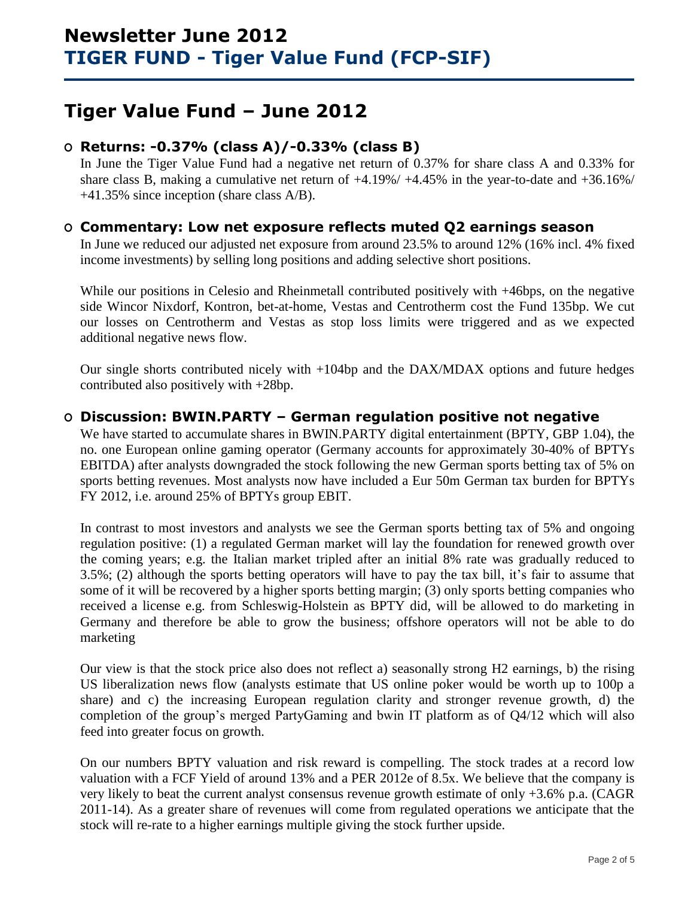# **Tiger Value Fund – June 2012**

## **O Returns: -0.37% (class A)/-0.33% (class B)**

In June the Tiger Value Fund had a negative net return of 0.37% for share class A and 0.33% for share class B, making a cumulative net return of +4.19%/ +4.45% in the year-to-date and +36.16%/ +41.35% since inception (share class A/B).

## **O Commentary: Low net exposure reflects muted Q2 earnings season**

In June we reduced our adjusted net exposure from around 23.5% to around 12% (16% incl. 4% fixed income investments) by selling long positions and adding selective short positions.

While our positions in Celesio and Rheinmetall contributed positively with  $+46$ bps, on the negative side Wincor Nixdorf, Kontron, bet-at-home, Vestas and Centrotherm cost the Fund 135bp. We cut our losses on Centrotherm and Vestas as stop loss limits were triggered and as we expected additional negative news flow.

Our single shorts contributed nicely with +104bp and the DAX/MDAX options and future hedges contributed also positively with +28bp.

## **O Discussion: BWIN.PARTY – German regulation positive not negative**

We have started to accumulate shares in BWIN.PARTY digital entertainment (BPTY, GBP 1.04), the no. one European online gaming operator (Germany accounts for approximately 30-40% of BPTYs EBITDA) after analysts downgraded the stock following the new German sports betting tax of 5% on sports betting revenues. Most analysts now have included a Eur 50m German tax burden for BPTYs FY 2012, i.e. around 25% of BPTYs group EBIT.

In contrast to most investors and analysts we see the German sports betting tax of 5% and ongoing regulation positive: (1) a regulated German market will lay the foundation for renewed growth over the coming years; e.g. the Italian market tripled after an initial 8% rate was gradually reduced to 3.5%; (2) although the sports betting operators will have to pay the tax bill, it's fair to assume that some of it will be recovered by a higher sports betting margin; (3) only sports betting companies who received a license e.g. from Schleswig-Holstein as BPTY did, will be allowed to do marketing in Germany and therefore be able to grow the business; offshore operators will not be able to do marketing

Our view is that the stock price also does not reflect a) seasonally strong H2 earnings, b) the rising US liberalization news flow (analysts estimate that US online poker would be worth up to 100p a share) and c) the increasing European regulation clarity and stronger revenue growth, d) the completion of the group's merged PartyGaming and bwin IT platform as of Q4/12 which will also feed into greater focus on growth.

On our numbers BPTY valuation and risk reward is compelling. The stock trades at a record low valuation with a FCF Yield of around 13% and a PER 2012e of 8.5x. We believe that the company is very likely to beat the current analyst consensus revenue growth estimate of only +3.6% p.a. (CAGR 2011-14). As a greater share of revenues will come from regulated operations we anticipate that the stock will re-rate to a higher earnings multiple giving the stock further upside.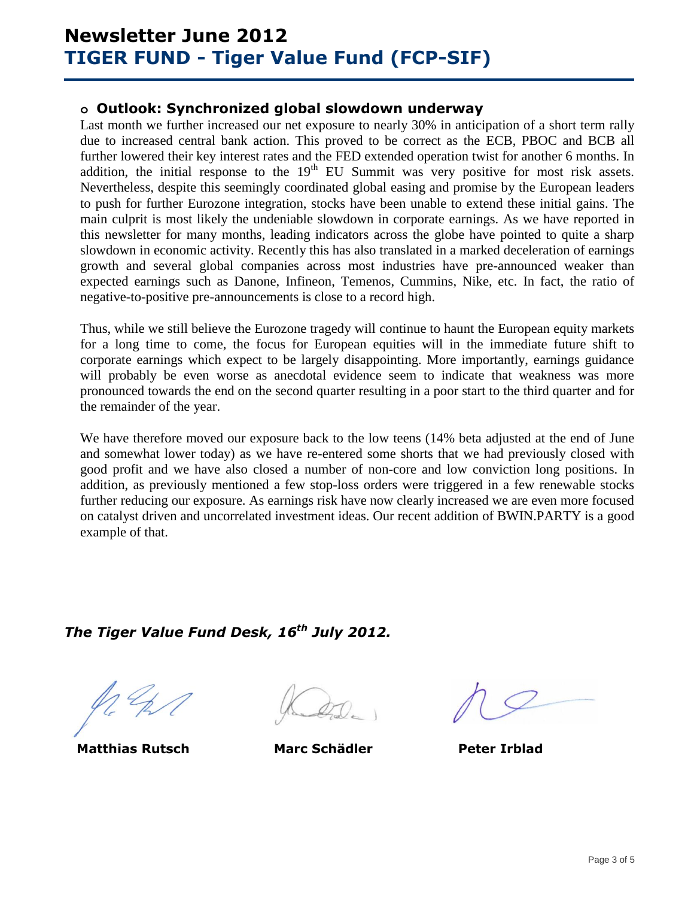# **Newsletter June 2012 TIGER FUND - Tiger Value Fund (FCP-SIF)**

### **o Outlook: Synchronized global slowdown underway**

Last month we further increased our net exposure to nearly 30% in anticipation of a short term rally due to increased central bank action. This proved to be correct as the ECB, PBOC and BCB all further lowered their key interest rates and the FED extended operation twist for another 6 months. In addition, the initial response to the 19<sup>th</sup> EU Summit was very positive for most risk assets. Nevertheless, despite this seemingly coordinated global easing and promise by the European leaders to push for further Eurozone integration, stocks have been unable to extend these initial gains. The main culprit is most likely the undeniable slowdown in corporate earnings. As we have reported in this newsletter for many months, leading indicators across the globe have pointed to quite a sharp slowdown in economic activity. Recently this has also translated in a marked deceleration of earnings growth and several global companies across most industries have pre-announced weaker than expected earnings such as Danone, Infineon, Temenos, Cummins, Nike, etc. In fact, the ratio of negative-to-positive pre-announcements is close to a record high.

Thus, while we still believe the Eurozone tragedy will continue to haunt the European equity markets for a long time to come, the focus for European equities will in the immediate future shift to corporate earnings which expect to be largely disappointing. More importantly, earnings guidance will probably be even worse as anecdotal evidence seem to indicate that weakness was more pronounced towards the end on the second quarter resulting in a poor start to the third quarter and for the remainder of the year.

We have therefore moved our exposure back to the low teens (14% beta adjusted at the end of June and somewhat lower today) as we have re-entered some shorts that we had previously closed with good profit and we have also closed a number of non-core and low conviction long positions. In addition, as previously mentioned a few stop-loss orders were triggered in a few renewable stocks further reducing our exposure. As earnings risk have now clearly increased we are even more focused on catalyst driven and uncorrelated investment ideas. Our recent addition of BWIN.PARTY is a good example of that.

## *The Tiger Value Fund Desk, 16 th July 2012.*

**Matthias Rutsch Marc Schädler Peter Irblad**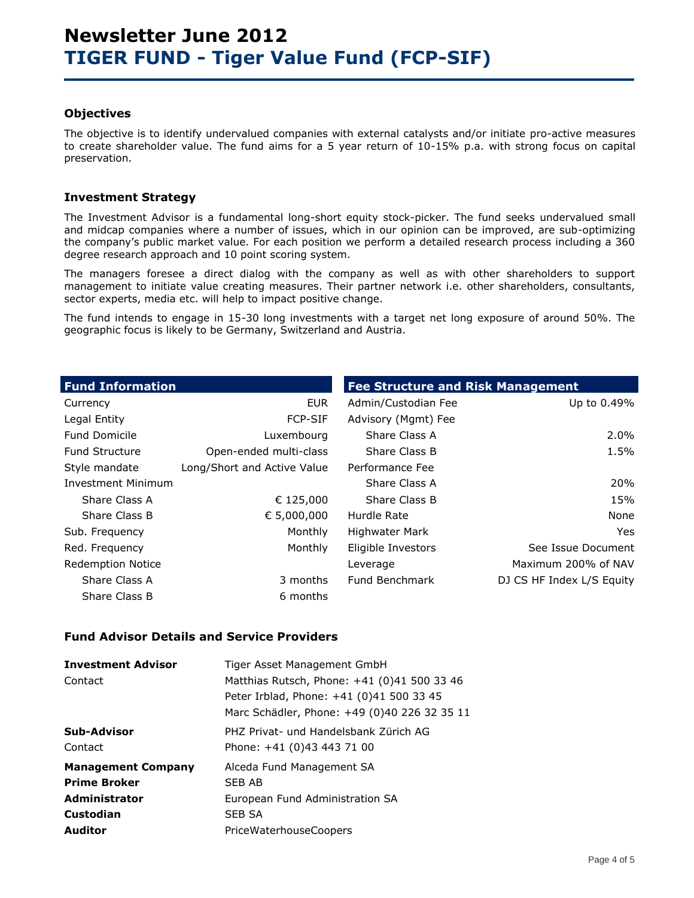#### **Objectives**

The objective is to identify undervalued companies with external catalysts and/or initiate pro-active measures to create shareholder value. The fund aims for a 5 year return of 10-15% p.a. with strong focus on capital preservation.

### **Investment Strategy**

The Investment Advisor is a fundamental long-short equity stock-picker. The fund seeks undervalued small and midcap companies where a number of issues, which in our opinion can be improved, are sub-optimizing the company's public market value. For each position we perform a detailed research process including a 360 degree research approach and 10 point scoring system.

The managers foresee a direct dialog with the company as well as with other shareholders to support management to initiate value creating measures. Their partner network i.e. other shareholders, consultants, sector experts, media etc. will help to impact positive change.

The fund intends to engage in 15-30 long investments with a target net long exposure of around 50%. The geographic focus is likely to be Germany, Switzerland and Austria.

| <b>Fund Information</b>   |                             | <b>Fee Structure and Risk Management</b> |                           |
|---------------------------|-----------------------------|------------------------------------------|---------------------------|
| Currency                  | <b>EUR</b>                  | Admin/Custodian Fee                      | Up to 0.49%               |
| Legal Entity              | <b>FCP-SIF</b>              | Advisory (Mgmt) Fee                      |                           |
| <b>Fund Domicile</b>      | Luxembourg                  | Share Class A                            | $2.0\%$                   |
| <b>Fund Structure</b>     | Open-ended multi-class      | Share Class B                            | 1.5%                      |
| Style mandate             | Long/Short and Active Value | Performance Fee                          |                           |
| <b>Investment Minimum</b> |                             | Share Class A                            | <b>20%</b>                |
| Share Class A             | € 125,000                   | Share Class B                            | 15%                       |
| Share Class B             | € 5,000,000                 | Hurdle Rate                              | None                      |
| Sub. Frequency            | Monthly                     | <b>Highwater Mark</b>                    | Yes                       |
| Red. Frequency            | Monthly                     | Eligible Investors                       | See Issue Document        |
| <b>Redemption Notice</b>  |                             | Leverage                                 | Maximum 200% of NAV       |
| Share Class A             | 3 months                    | Fund Benchmark                           | DJ CS HF Index L/S Equity |
| Share Class B             | 6 months                    |                                          |                           |

### **Fund Advisor Details and Service Providers**

| <b>Investment Advisor</b> | Tiger Asset Management GmbH                  |
|---------------------------|----------------------------------------------|
| Contact                   | Matthias Rutsch, Phone: +41 (0)41 500 33 46  |
|                           | Peter Irblad, Phone: +41 (0)41 500 33 45     |
|                           | Marc Schädler, Phone: +49 (0)40 226 32 35 11 |
| Sub-Advisor               | PHZ Privat- und Handelsbank Zürich AG        |
| Contact                   | Phone: +41 (0)43 443 71 00                   |
| <b>Management Company</b> | Alceda Fund Management SA                    |
| <b>Prime Broker</b>       | SFB AB                                       |
| <b>Administrator</b>      | European Fund Administration SA              |
| Custodian                 | SEB SA                                       |
| <b>Auditor</b>            | PriceWaterhouseCoopers                       |